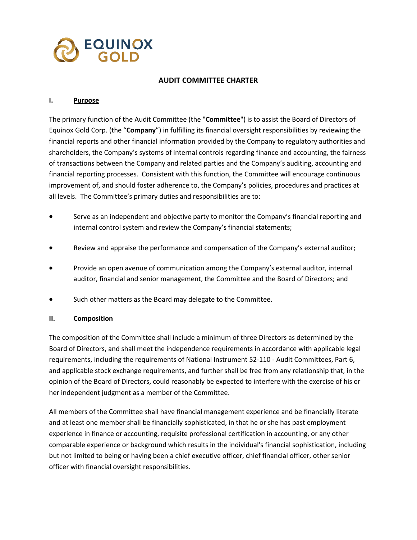

### **AUDIT COMMITTEE CHARTER**

#### **I. Purpose**

The primary function of the Audit Committee (the "**Committee**") is to assist the Board of Directors of Equinox Gold Corp. (the "**Company**") in fulfilling its financial oversight responsibilities by reviewing the financial reports and other financial information provided by the Company to regulatory authorities and shareholders, the Company's systems of internal controls regarding finance and accounting, the fairness of transactions between the Company and related parties and the Company's auditing, accounting and financial reporting processes. Consistent with this function, the Committee will encourage continuous improvement of, and should foster adherence to, the Company's policies, procedures and practices at all levels. The Committee's primary duties and responsibilities are to:

- Serve as an independent and objective party to monitor the Company's financial reporting and internal control system and review the Company's financial statements;
- Review and appraise the performance and compensation of the Company's external auditor;
- Provide an open avenue of communication among the Company's external auditor, internal auditor, financial and senior management, the Committee and the Board of Directors; and
- Such other matters as the Board may delegate to the Committee.

#### **II. Composition**

The composition of the Committee shall include a minimum of three Directors as determined by the Board of Directors, and shall meet the independence requirements in accordance with applicable legal requirements, including the requirements of National Instrument 52-110 - Audit Committees, Part 6, and applicable stock exchange requirements, and further shall be free from any relationship that, in the opinion of the Board of Directors, could reasonably be expected to interfere with the exercise of his or her independent judgment as a member of the Committee.

All members of the Committee shall have financial management experience and be financially literate and at least one member shall be financially sophisticated, in that he or she has past employment experience in finance or accounting, requisite professional certification in accounting, or any other comparable experience or background which results in the individual's financial sophistication, including but not limited to being or having been a chief executive officer, chief financial officer, other senior officer with financial oversight responsibilities.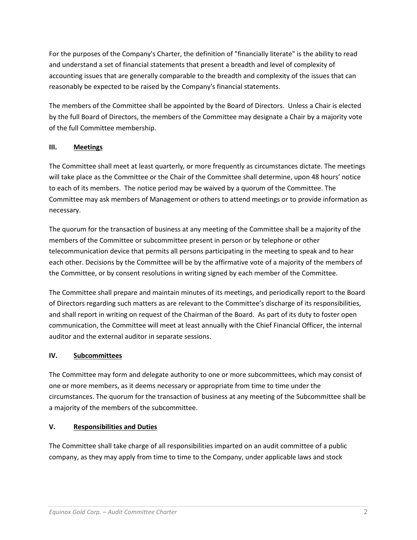For the purposes of the Company's Charter, the definition of "financially literate" is the ability to read and understand a set of financial statements that present a breadth and level of complexity of accounting issues that are generally comparable to the breadth and complexity of the issues that can reasonably be expected to be raised by the Company's financial statements.

The members of the Committee shall be appointed by the Board of Directors. Unless a Chair is elected by the full Board of Directors, the members of the Committee may designate a Chair by a majority vote of the full Committee membership.

# **III. Meetings**

The Committee shall meet at least quarterly*,* or more frequently as circumstances dictate. The meetings will take place as the Committee or the Chair of the Committee shall determine, upon 48 hours' notice to each of its members. The notice period may be waived by a quorum of the Committee. The Committee may ask members of Management or others to attend meetings or to provide information as necessary.

The quorum for the transaction of business at any meeting of the Committee shall be a majority of the members of the Committee or subcommittee present in person or by telephone or other telecommunication device that permits all persons participating in the meeting to speak and to hear each other. Decisions by the Committee will be by the affirmative vote of a majority of the members of the Committee, or by consent resolutions in writing signed by each member of the Committee.

The Committee shall prepare and maintain minutes of its meetings, and periodically report to the Board of Directors regarding such matters as are relevant to the Committee's discharge of its responsibilities, and shall report in writing on request of the Chairman of the Board. As part of its duty to foster open communication, the Committee will meet at least annually with the Chief Financial Officer, the internal auditor and the external auditor in separate sessions.

# **IV. Subcommittees**

The Committee may form and delegate authority to one or more subcommittees, which may consist of one or more members, as it deems necessary or appropriate from time to time under the circumstances. The quorum for the transaction of business at any meeting of the Subcommittee shall be a majority of the members of the subcommittee.

## **V. Responsibilities and Duties**

The Committee shall take charge of all responsibilities imparted on an audit committee of a public company, as they may apply from time to time to the Company, under applicable laws and stock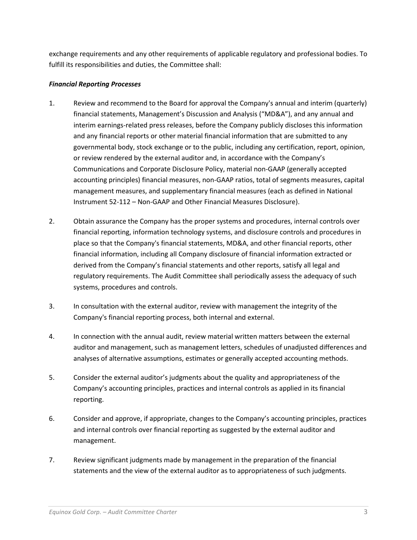exchange requirements and any other requirements of applicable regulatory and professional bodies. To fulfill its responsibilities and duties, the Committee shall:

## *Financial Reporting Processes*

- 1. Review and recommend to the Board for approval the Company's annual and interim (quarterly) financial statements, Management's Discussion and Analysis ("MD&A"), and any annual and interim earnings-related press releases, before the Company publicly discloses this information and any financial reports or other material financial information that are submitted to any governmental body, stock exchange or to the public, including any certification, report, opinion, or review rendered by the external auditor and, in accordance with the Company's Communications and Corporate Disclosure Policy, material non-GAAP (generally accepted accounting principles) financial measures, non-GAAP ratios, total of segments measures, capital management measures, and supplementary financial measures (each as defined in National Instrument 52-112 – Non-GAAP and Other Financial Measures Disclosure).
- 2. Obtain assurance the Company has the proper systems and procedures, internal controls over financial reporting, information technology systems, and disclosure controls and procedures in place so that the Company's financial statements, MD&A, and other financial reports, other financial information, including all Company disclosure of financial information extracted or derived from the Company's financial statements and other reports, satisfy all legal and regulatory requirements. The Audit Committee shall periodically assess the adequacy of such systems, procedures and controls.
- 3. In consultation with the external auditor, review with management the integrity of the Company's financial reporting process, both internal and external.
- 4. In connection with the annual audit, review material written matters between the external auditor and management, such as management letters, schedules of unadjusted differences and analyses of alternative assumptions, estimates or generally accepted accounting methods.
- 5. Consider the external auditor's judgments about the quality and appropriateness of the Company's accounting principles, practices and internal controls as applied in its financial reporting.
- 6. Consider and approve, if appropriate, changes to the Company's accounting principles, practices and internal controls over financial reporting as suggested by the external auditor and management.
- 7. Review significant judgments made by management in the preparation of the financial statements and the view of the external auditor as to appropriateness of such judgments.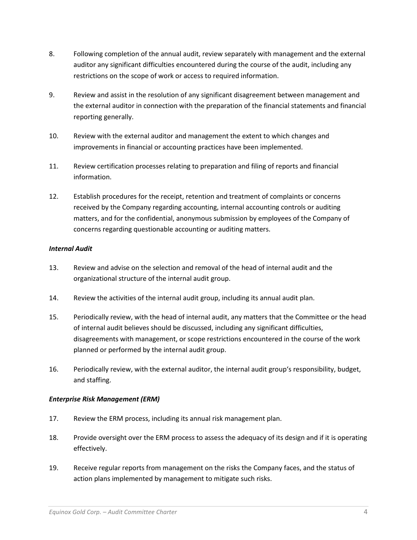- 8. Following completion of the annual audit, review separately with management and the external auditor any significant difficulties encountered during the course of the audit, including any restrictions on the scope of work or access to required information.
- 9. Review and assist in the resolution of any significant disagreement between management and the external auditor in connection with the preparation of the financial statements and financial reporting generally.
- 10. Review with the external auditor and management the extent to which changes and improvements in financial or accounting practices have been implemented.
- 11. Review certification processes relating to preparation and filing of reports and financial information.
- 12. Establish procedures for the receipt, retention and treatment of complaints or concerns received by the Company regarding accounting, internal accounting controls or auditing matters, and for the confidential, anonymous submission by employees of the Company of concerns regarding questionable accounting or auditing matters.

### *Internal Audit*

- 13. Review and advise on the selection and removal of the head of internal audit and the organizational structure of the internal audit group.
- 14. Review the activities of the internal audit group, including its annual audit plan.
- 15. Periodically review, with the head of internal audit, any matters that the Committee or the head of internal audit believes should be discussed, including any significant difficulties, disagreements with management, or scope restrictions encountered in the course of the work planned or performed by the internal audit group.
- 16. Periodically review, with the external auditor, the internal audit group's responsibility, budget, and staffing.

## *Enterprise Risk Management (ERM)*

- 17. Review the ERM process, including its annual risk management plan.
- 18. Provide oversight over the ERM process to assess the adequacy of its design and if it is operating effectively.
- 19. Receive regular reports from management on the risks the Company faces, and the status of action plans implemented by management to mitigate such risks.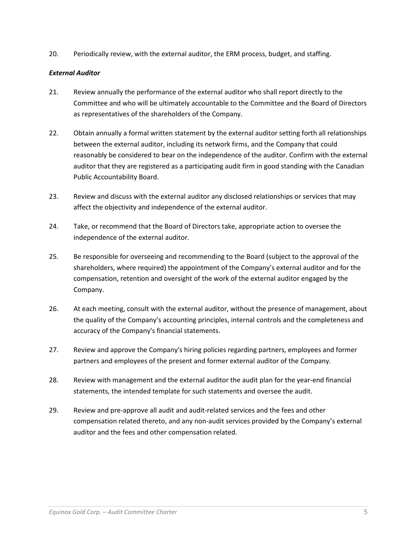20. Periodically review, with the external auditor, the ERM process, budget, and staffing.

### *External Auditor*

- 21. Review annually the performance of the external auditor who shall report directly to the Committee and who will be ultimately accountable to the Committee and the Board of Directors as representatives of the shareholders of the Company.
- 22. Obtain annually a formal written statement by the external auditor setting forth all relationships between the external auditor, including its network firms, and the Company that could reasonably be considered to bear on the independence of the auditor. Confirm with the external auditor that they are registered as a participating audit firm in good standing with the Canadian Public Accountability Board.
- 23. Review and discuss with the external auditor any disclosed relationships or services that may affect the objectivity and independence of the external auditor.
- 24. Take, or recommend that the Board of Directors take, appropriate action to oversee the independence of the external auditor.
- 25. Be responsible for overseeing and recommending to the Board (subject to the approval of the shareholders, where required) the appointment of the Company's external auditor and for the compensation, retention and oversight of the work of the external auditor engaged by the Company.
- 26. At each meeting, consult with the external auditor, without the presence of management, about the quality of the Company's accounting principles, internal controls and the completeness and accuracy of the Company's financial statements.
- 27. Review and approve the Company's hiring policies regarding partners, employees and former partners and employees of the present and former external auditor of the Company.
- 28. Review with management and the external auditor the audit plan for the year-end financial statements, the intended template for such statements and oversee the audit.
- 29. Review and pre-approve all audit and audit-related services and the fees and other compensation related thereto, and any non-audit services provided by the Company's external auditor and the fees and other compensation related.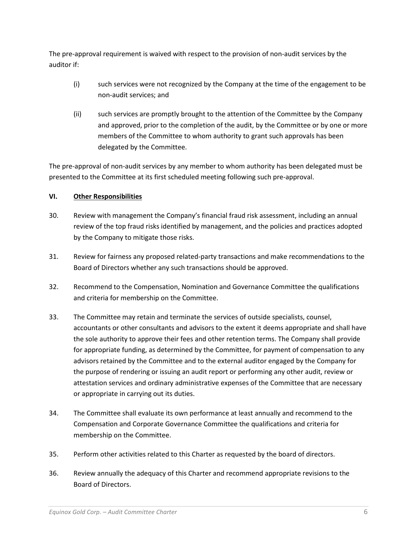The pre-approval requirement is waived with respect to the provision of non-audit services by the auditor if:

- (i) such services were not recognized by the Company at the time of the engagement to be non-audit services; and
- (ii) such services are promptly brought to the attention of the Committee by the Company and approved, prior to the completion of the audit, by the Committee or by one or more members of the Committee to whom authority to grant such approvals has been delegated by the Committee.

The pre-approval of non-audit services by any member to whom authority has been delegated must be presented to the Committee at its first scheduled meeting following such pre-approval.

# **VI. Other Responsibilities**

- 30. Review with management the Company's financial fraud risk assessment, including an annual review of the top fraud risks identified by management, and the policies and practices adopted by the Company to mitigate those risks.
- 31. Review for fairness any proposed related-party transactions and make recommendations to the Board of Directors whether any such transactions should be approved.
- 32. Recommend to the Compensation, Nomination and Governance Committee the qualifications and criteria for membership on the Committee.
- 33. The Committee may retain and terminate the services of outside specialists, counsel, accountants or other consultants and advisors to the extent it deems appropriate and shall have the sole authority to approve their fees and other retention terms. The Company shall provide for appropriate funding, as determined by the Committee, for payment of compensation to any advisors retained by the Committee and to the external auditor engaged by the Company for the purpose of rendering or issuing an audit report or performing any other audit, review or attestation services and ordinary administrative expenses of the Committee that are necessary or appropriate in carrying out its duties.
- 34. The Committee shall evaluate its own performance at least annually and recommend to the Compensation and Corporate Governance Committee the qualifications and criteria for membership on the Committee.
- 35. Perform other activities related to this Charter as requested by the board of directors.
- 36. Review annually the adequacy of this Charter and recommend appropriate revisions to the Board of Directors.